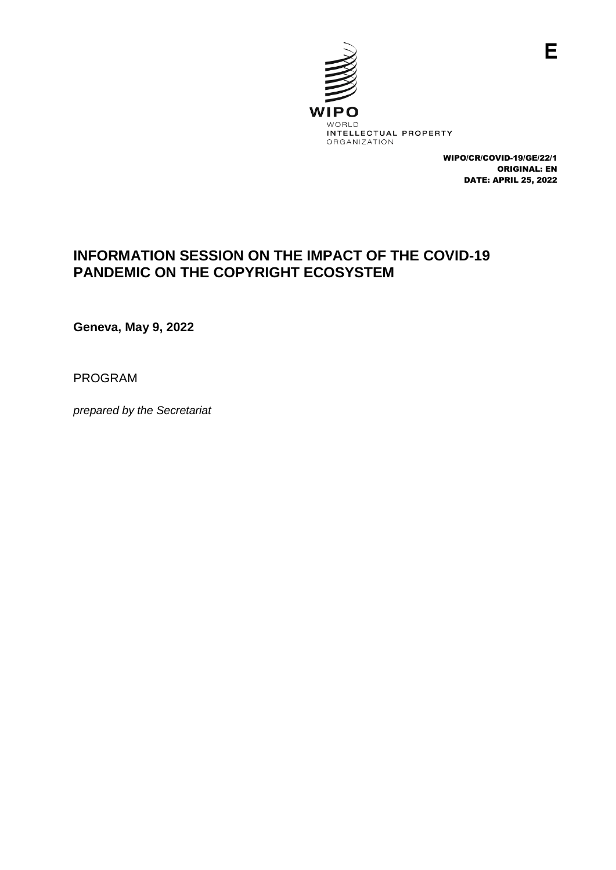

WIPO/CR/COVID-19/GE/22/1 ORIGINAL: EN DATE: APRIL 25, 2022

## **INFORMATION SESSION ON THE IMPACT OF THE COVID-19 PANDEMIC ON THE COPYRIGHT ECOSYSTEM**

**Geneva, May 9, 2022** 

PROGRAM

*prepared by the Secretariat*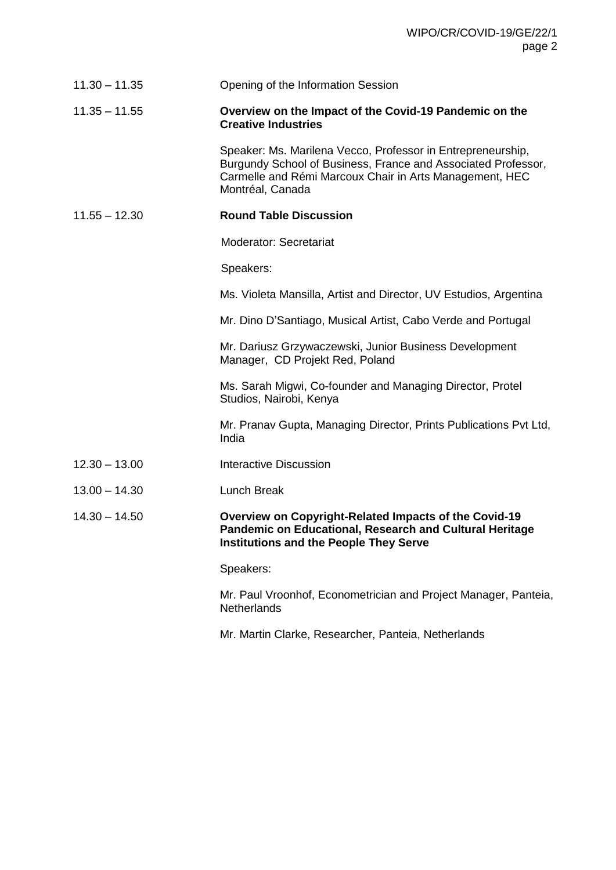| $11.30 - 11.35$ | Opening of the Information Session                                                                                                                                                                          |
|-----------------|-------------------------------------------------------------------------------------------------------------------------------------------------------------------------------------------------------------|
| $11.35 - 11.55$ | Overview on the Impact of the Covid-19 Pandemic on the<br><b>Creative Industries</b>                                                                                                                        |
|                 | Speaker: Ms. Marilena Vecco, Professor in Entrepreneurship,<br>Burgundy School of Business, France and Associated Professor,<br>Carmelle and Rémi Marcoux Chair in Arts Management, HEC<br>Montréal, Canada |
| $11.55 - 12.30$ | <b>Round Table Discussion</b>                                                                                                                                                                               |
|                 | <b>Moderator: Secretariat</b>                                                                                                                                                                               |
|                 | Speakers:                                                                                                                                                                                                   |
|                 | Ms. Violeta Mansilla, Artist and Director, UV Estudios, Argentina                                                                                                                                           |
|                 | Mr. Dino D'Santiago, Musical Artist, Cabo Verde and Portugal                                                                                                                                                |
|                 | Mr. Dariusz Grzywaczewski, Junior Business Development<br>Manager, CD Projekt Red, Poland                                                                                                                   |
|                 | Ms. Sarah Migwi, Co-founder and Managing Director, Protel<br>Studios, Nairobi, Kenya                                                                                                                        |
|                 | Mr. Pranav Gupta, Managing Director, Prints Publications Pvt Ltd,<br>India                                                                                                                                  |
| $12.30 - 13.00$ | <b>Interactive Discussion</b>                                                                                                                                                                               |
| $13.00 - 14.30$ | Lunch Break                                                                                                                                                                                                 |
| $14.30 - 14.50$ | Overview on Copyright-Related Impacts of the Covid-19<br><b>Pandemic on Educational, Research and Cultural Heritage</b><br><b>Institutions and the People They Serve</b>                                    |
|                 | Speakers:                                                                                                                                                                                                   |
|                 | Mr. Paul Vroonhof, Econometrician and Project Manager, Panteia,<br>Netherlands                                                                                                                              |

Mr. Martin Clarke, Researcher, Panteia, Netherlands